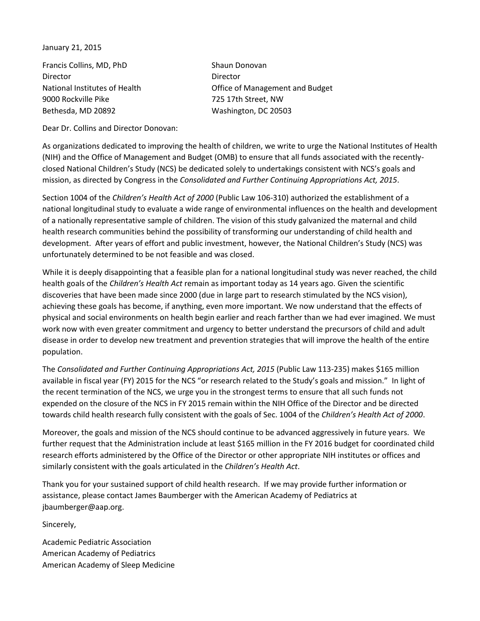January 21, 2015

Francis Collins, MD, PhD Shaun Donovan Director Director 9000 Rockville Pike 725 17th Street, NW Bethesda, MD 20892 Washington, DC 20503

National Institutes of Health Office of Management and Budget

Dear Dr. Collins and Director Donovan:

As organizations dedicated to improving the health of children, we write to urge the National Institutes of Health (NIH) and the Office of Management and Budget (OMB) to ensure that all funds associated with the recentlyclosed National Children's Study (NCS) be dedicated solely to undertakings consistent with NCS's goals and mission, as directed by Congress in the *Consolidated and Further Continuing Appropriations Act, 2015*.

Section 1004 of the *Children's Health Act of 2000* (Public Law 106-310) authorized the establishment of a national longitudinal study to evaluate a wide range of environmental influences on the health and development of a nationally representative sample of children. The vision of this study galvanized the maternal and child health research communities behind the possibility of transforming our understanding of child health and development. After years of effort and public investment, however, the National Children's Study (NCS) was unfortunately determined to be not feasible and was closed.

While it is deeply disappointing that a feasible plan for a national longitudinal study was never reached, the child health goals of the *Children's Health Act* remain as important today as 14 years ago. Given the scientific discoveries that have been made since 2000 (due in large part to research stimulated by the NCS vision), achieving these goals has become, if anything, even more important. We now understand that the effects of physical and social environments on health begin earlier and reach farther than we had ever imagined. We must work now with even greater commitment and urgency to better understand the precursors of child and adult disease in order to develop new treatment and prevention strategies that will improve the health of the entire population.

The *Consolidated and Further Continuing Appropriations Act, 2015* (Public Law 113-235) makes \$165 million available in fiscal year (FY) 2015 for the NCS "or research related to the Study's goals and mission." In light of the recent termination of the NCS, we urge you in the strongest terms to ensure that all such funds not expended on the closure of the NCS in FY 2015 remain within the NIH Office of the Director and be directed towards child health research fully consistent with the goals of Sec. 1004 of the *Children's Health Act of 2000*.

Moreover, the goals and mission of the NCS should continue to be advanced aggressively in future years. We further request that the Administration include at least \$165 million in the FY 2016 budget for coordinated child research efforts administered by the Office of the Director or other appropriate NIH institutes or offices and similarly consistent with the goals articulated in the *Children's Health Act*.

Thank you for your sustained support of child health research. If we may provide further information or assistance, please contact James Baumberger with the American Academy of Pediatrics at jbaumberger@aap.org.

Sincerely,

Academic Pediatric Association American Academy of Pediatrics American Academy of Sleep Medicine